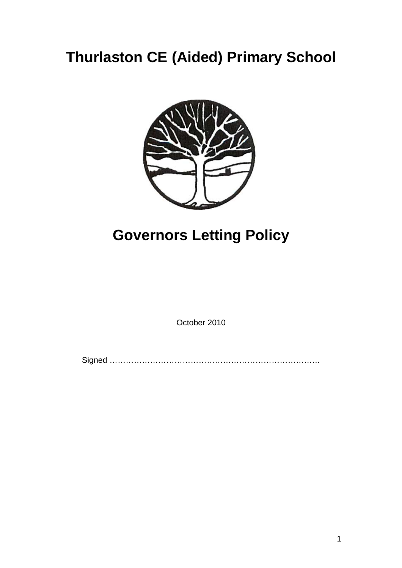## **Thurlaston CE (Aided) Primary School**



## **Governors Letting Policy**

October 2010

Signed ……………………………………………………………………